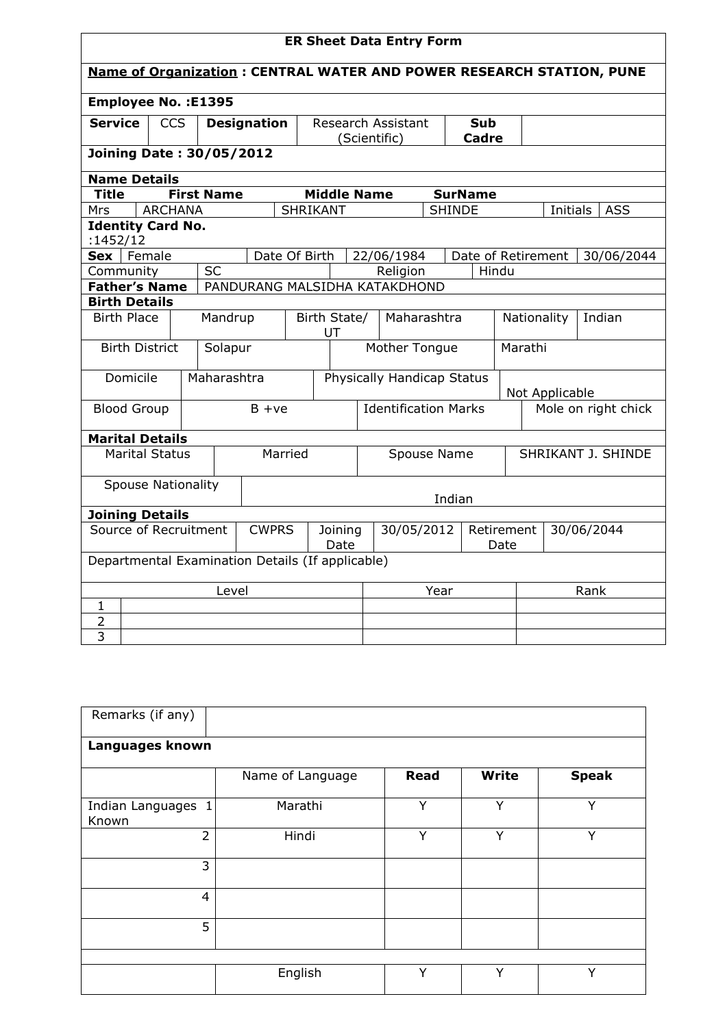| <b>ER Sheet Data Entry Form</b>                                             |                                                       |                   |         |                                   |                                              |                             |                    |                          |                    |                     |            |          |                    |
|-----------------------------------------------------------------------------|-------------------------------------------------------|-------------------|---------|-----------------------------------|----------------------------------------------|-----------------------------|--------------------|--------------------------|--------------------|---------------------|------------|----------|--------------------|
| <b>Name of Organization: CENTRAL WATER AND POWER RESEARCH STATION, PUNE</b> |                                                       |                   |         |                                   |                                              |                             |                    |                          |                    |                     |            |          |                    |
|                                                                             | <b>Employee No.: E1395</b>                            |                   |         |                                   |                                              |                             |                    |                          |                    |                     |            |          |                    |
| <b>Service</b>                                                              | <b>CCS</b>                                            |                   |         | <b>Designation</b>                |                                              |                             |                    | Research Assistant       |                    | Sub                 |            |          |                    |
| <b>Joining Date: 30/05/2012</b>                                             |                                                       |                   |         |                                   |                                              |                             | (Scientific)       |                          |                    | <b>Cadre</b>        |            |          |                    |
|                                                                             | <b>Name Details</b>                                   |                   |         |                                   |                                              |                             |                    |                          |                    |                     |            |          |                    |
| <b>Title</b>                                                                |                                                       | <b>First Name</b> |         |                                   |                                              |                             | <b>Middle Name</b> |                          |                    | <b>SurName</b>      |            |          |                    |
| <b>Mrs</b>                                                                  | <b>ARCHANA</b>                                        |                   |         |                                   | SHRIKANT                                     |                             |                    |                          |                    | <b>SHINDE</b>       |            | Initials | <b>ASS</b>         |
| <b>Identity Card No.</b>                                                    |                                                       |                   |         |                                   |                                              |                             |                    |                          |                    |                     |            |          |                    |
| :1452/12<br>$Sex$   Female                                                  |                                                       |                   |         |                                   | Date Of Birth                                |                             |                    | 22/06/1984               |                    | Date of Retirement  |            |          | 30/06/2044         |
| Community                                                                   |                                                       | <b>SC</b>         |         |                                   |                                              |                             |                    | Religion                 |                    | Hindu               |            |          |                    |
|                                                                             | <b>Father's Name</b><br>PANDURANG MALSIDHA KATAKDHOND |                   |         |                                   |                                              |                             |                    |                          |                    |                     |            |          |                    |
|                                                                             | <b>Birth Details</b>                                  |                   |         |                                   |                                              |                             |                    |                          |                    |                     |            |          |                    |
| <b>Birth Place</b><br>Mandrup                                               |                                                       |                   |         | Maharashtra<br>Birth State/<br>UT |                                              |                             |                    | Nationality              |                    |                     | Indian     |          |                    |
| <b>Birth District</b>                                                       |                                                       |                   | Solapur |                                   |                                              |                             |                    | Mother Tongue<br>Marathi |                    |                     |            |          |                    |
| Domicile                                                                    |                                                       | Maharashtra       |         |                                   | Physically Handicap Status<br>Not Applicable |                             |                    |                          |                    |                     |            |          |                    |
| <b>Blood Group</b>                                                          |                                                       |                   |         | $B + ve$                          |                                              | <b>Identification Marks</b> |                    |                          |                    | Mole on right chick |            |          |                    |
| <b>Marital Details</b>                                                      |                                                       |                   |         |                                   |                                              |                             |                    |                          |                    |                     |            |          |                    |
| <b>Marital Status</b>                                                       |                                                       |                   |         |                                   | Married                                      |                             |                    | Spouse Name              |                    |                     |            |          | SHRIKANT J. SHINDE |
| <b>Spouse Nationality</b>                                                   |                                                       |                   |         |                                   |                                              |                             |                    |                          |                    | Indian              |            |          |                    |
| <b>Joining Details</b>                                                      |                                                       |                   |         |                                   |                                              |                             |                    |                          |                    |                     |            |          |                    |
| Source of Recruitment<br><b>CWPRS</b>                                       |                                                       |                   |         |                                   | Joining<br>Date                              | 30/05/2012                  |                    |                          | Retirement<br>Date |                     | 30/06/2044 |          |                    |
|                                                                             | Departmental Examination Details (If applicable)      |                   |         |                                   |                                              |                             |                    |                          |                    |                     |            |          |                    |
| Level                                                                       |                                                       |                   |         |                                   |                                              |                             |                    | Year                     |                    |                     | Rank       |          |                    |
| $\mathbf{1}$                                                                |                                                       |                   |         |                                   |                                              |                             |                    |                          |                    |                     |            |          |                    |
| $\overline{2}$                                                              |                                                       |                   |         |                                   |                                              |                             |                    |                          |                    |                     |            |          |                    |
| 3                                                                           |                                                       |                   |         |                                   |                                              |                             |                    |                          |                    |                     |            |          |                    |

| Remarks (if any)            |                  |              |              |              |
|-----------------------------|------------------|--------------|--------------|--------------|
| Languages known             |                  |              |              |              |
|                             | Name of Language | <b>Read</b>  | Write        | <b>Speak</b> |
| Indian Languages 1<br>Known | Marathi          | Y            | Y            | Y            |
| $\overline{2}$              | Hindi            | Y            | Y            | Y            |
| 3                           |                  |              |              |              |
| $\overline{4}$              |                  |              |              |              |
| 5                           |                  |              |              |              |
|                             |                  |              |              |              |
|                             | English          | $\checkmark$ | $\checkmark$ | $\checkmark$ |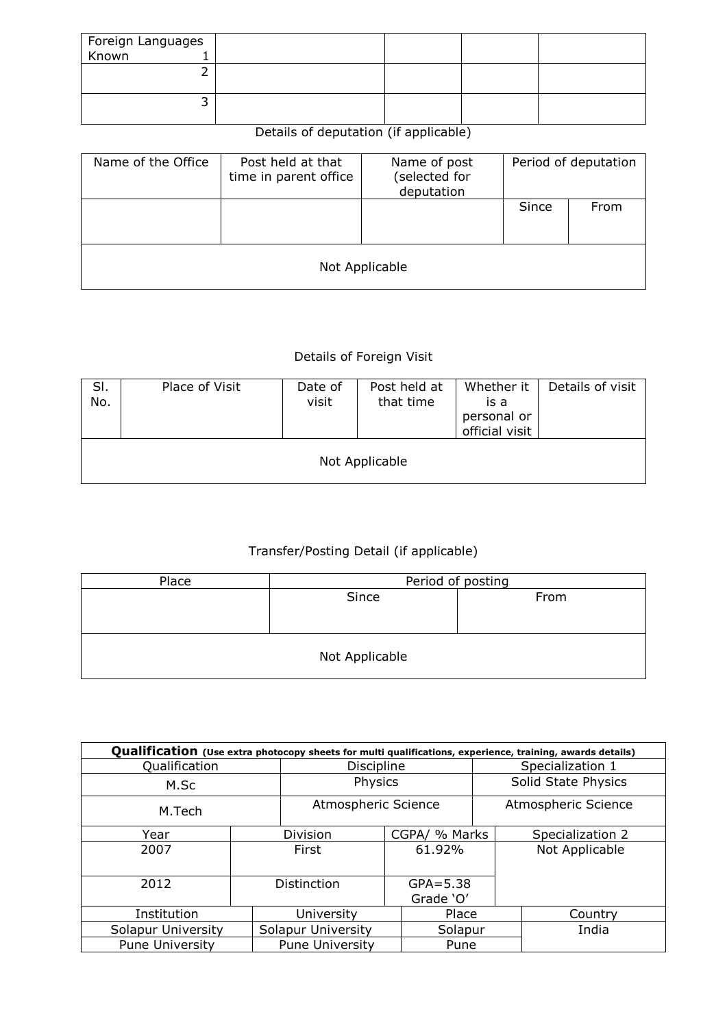| Foreign Languages<br>Known 1 |  |  |
|------------------------------|--|--|
|                              |  |  |
|                              |  |  |
|                              |  |  |
|                              |  |  |
|                              |  |  |

## Details of deputation (if applicable)

| Name of the Office | Post held at that<br>time in parent office | Name of post<br>(selected for<br>deputation |       | Period of deputation |  |  |  |  |  |
|--------------------|--------------------------------------------|---------------------------------------------|-------|----------------------|--|--|--|--|--|
|                    |                                            |                                             | Since | From                 |  |  |  |  |  |
| Not Applicable     |                                            |                                             |       |                      |  |  |  |  |  |

## Details of Foreign Visit

| SI.<br>No. | Place of Visit | Date of<br>visit | Post held at<br>that time | Whether it<br>is a<br>personal or<br>official visit | Details of visit |  |  |  |  |  |
|------------|----------------|------------------|---------------------------|-----------------------------------------------------|------------------|--|--|--|--|--|
|            | Not Applicable |                  |                           |                                                     |                  |  |  |  |  |  |

## Transfer/Posting Detail (if applicable)

| Place          | Period of posting |      |  |  |  |  |  |  |
|----------------|-------------------|------|--|--|--|--|--|--|
|                | Since             | From |  |  |  |  |  |  |
|                |                   |      |  |  |  |  |  |  |
|                |                   |      |  |  |  |  |  |  |
| Not Applicable |                   |      |  |  |  |  |  |  |

| Qualification (Use extra photocopy sheets for multi qualifications, experience, training, awards details) |         |                     |                           |  |                     |  |  |  |  |  |
|-----------------------------------------------------------------------------------------------------------|---------|---------------------|---------------------------|--|---------------------|--|--|--|--|--|
| Qualification                                                                                             |         | <b>Discipline</b>   |                           |  | Specialization 1    |  |  |  |  |  |
| M.Sc                                                                                                      | Physics |                     | Solid State Physics       |  |                     |  |  |  |  |  |
| M.Tech                                                                                                    |         | Atmospheric Science |                           |  | Atmospheric Science |  |  |  |  |  |
| Year                                                                                                      |         | Division            | CGPA/ % Marks             |  | Specialization 2    |  |  |  |  |  |
| 2007                                                                                                      |         | First               | 61.92%                    |  | Not Applicable      |  |  |  |  |  |
| 2012                                                                                                      |         | <b>Distinction</b>  | $GPA = 5.38$<br>Grade 'O' |  |                     |  |  |  |  |  |
| Institution                                                                                               |         | University          | Place                     |  | Country             |  |  |  |  |  |
| <b>Solapur University</b>                                                                                 |         | Solapur University  | Solapur                   |  | India               |  |  |  |  |  |
| <b>Pune University</b>                                                                                    |         | Pune University     | Pune                      |  |                     |  |  |  |  |  |